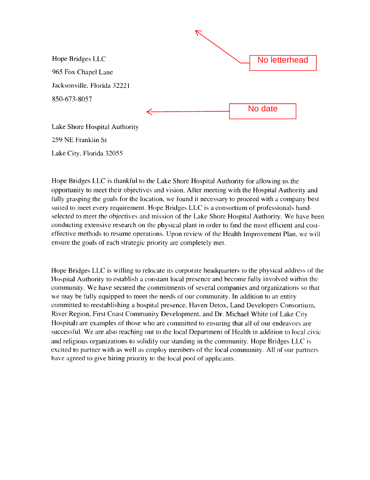

Lake City. Florida 32055

Hope Bridges LLC is thankful to the Lake Shore Hospital Authority for allowing us the opportunity to meet their objectives and vision. After meeting with the Hospital Authority and fully grasping the goals for the location, we found it necessary to proceed with a company best suited to meet every requirement. Hope Bridges LLC is a consortium of professionals handselected *to* meet the objectives and mission of the Lake Shore Hospital Authority. We have been conducting extensive research on the physical plant in order to find the most efficient and costeffective methods to resume operations. Upon review of the Health Improvement Plan, we will ensure the goals of each strategic priority are completely met.

Hope Bridges LLC is willing to relocate its corporate headquarters to the physical address of the Hospital Authority to establish a constant local presence and become fully involved within the community. We have secured the commitments of several companies and organizations so that we may be fully equipped to meet the needs of our community. In addition to an entity committed to reestablishing a hospital presence, Haven Detox. Land Developers Consortium. River Region. First Coast Community Development, and Dr. Michael White (of Lake City Hospital) are examples of those who are committed to ensuring that all of our endeavors are successful. We are also reaching out to the local Department of Health in addition to local civic and religious organizations to solidify our standing in the community. Hope Bridges LLC is excited to partner with as well as employ members of the local community. All of our partners have agreed to give hiring priority to the local pool of applicants.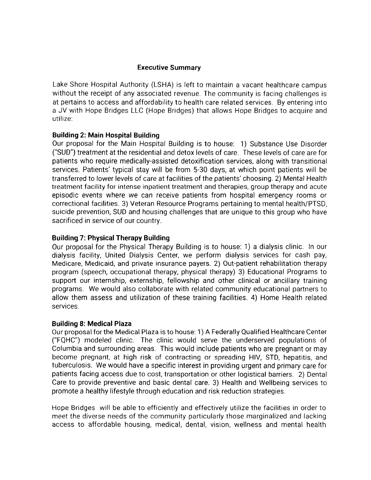### **Executive Summary**

Lake Shore Hospital Authority (LSHA) is left to maintain a vacant healthcare campus without the receipt of any associated revenue. The community is facing challenges is at pertains to access and affordability to health care related services. By entering into a JV with Hope Bridges LLC (Hope Bridges) that allows Hope Bridges to acquire and utilize:

### **Building 2: Main Hospital Building**

Our proposal for the Main Hospital Building is to house: 1) Substance Use Disorder ("SUD") treatment at the residential and detox levels of care. These levels of care are for patients who require medically-assisted detoxification services, along with transitional services. Patients' typical stay will be from 5-30 days, at which point patients will be transferred to lower levels of care at facilities of the patients' choosing. 2) Mental Health treatment facility for intense inpatient treatment and therapies, group therapy and acute episodic events where we can receive patients from hospital emergency rooms or correctional facilities. 3) Veteran Resource Programs pertaining to mental health/PTSD, suicide prevention, SUD and housing challenges that are unique to this group who have sacrificed in service of our country.

## **Building 7: Physical Therapy Building**

Our proposal for the Physical Therapy Building is to house: 1) a dialysis clinic. In our dialysis facility, United Dialysis Center, we perform dialysis services for cash pay, Medicare, Medicaid, and private insurance payers. 2) Out-patient rehabilitation therapy program (speech, occupational therapy, physical therapy) 3) Educational Programs to support our internship, externship, fellowship and other clinical or ancillary training programs. We would also collaborate with related community educational partners to allow them assess and utilization of these training facilities. 4) Home Health related services.

#### **Building 8: Medical Plaza**

Our proposal for the Medical Plaza is to house: 1) A Federally Qualified Healthcare Center ("FQHC") modeled clinic. The clinic would serve the underserved populations of Columbia and surrounding areas. This would include patients who are pregnant or may become pregnant, at high risk of contracting or spreading HIV, STD, hepatitis, and tuberculosis. We would have a specific interest in providing urgent and primary care for patients facing access due to cost, transportation or other logistical barriers. 2) Dental Care to provide preventive and basic dental care. 3) Health and Wellbeing services to promote a healthy lifestyle through education and risk reduction strategies.

Hope Bridges will be able to efficiently and effectively utilize the facilities in order to meet the diverse needs of the community particularly those marginalized and lacking access to affordable housing, medical, dental, vision, wellness and mental health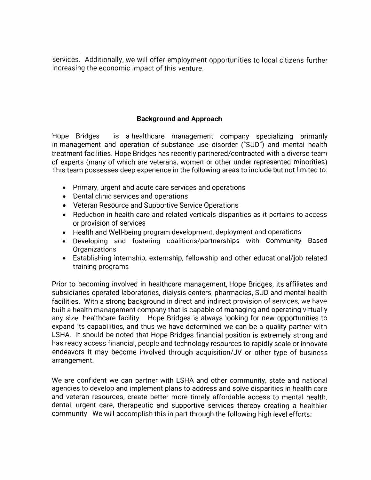services. Additionally, we will offer employment opportunities to local citizens further increasing the economic impact of this venture.

# **Background and Approach**

Hope Bridges is a healthcare management company specializing primarily in management and operation of substance use disorder ("SUD") and mental health treatment facilities. Hope Bridges has recently partnered/contracted with a diverse team of experts (many of which are veterans, women or other under represented minorities) This team possesses deep experience in the following areas to include but not limited to:

- Primary, urgent and acute care services and operations
- Dental clinic services and operations
- Veteran Resource and Supportive Service Operations
- Reduction in health care and related verticals disparities as it pertains to access or provision of services
- Health and Well-being program development, deployment and operations
- Developing and fostering coalitions/partnerships with Community Based **Organizations**
- Establishing internship, externship, fellowship and other educational/job related training programs

Prior to becoming involved in healthcare management, Hope Bridges, its affiliates and subsidiaries operated laboratories, dialysis centers, pharmacies, SUD and mental health facilities. With a strong background in direct and indirect provision of services, we have built a health management company that is capable of managing and operating virtually any size healthcare facility. Hope Bridges is always looking for new opportunities to expand its capabilities, and thus we have determined we can be a quality partner with LSHA. It should be noted that Hope Bridges financial position is extremely strong and has ready access financial, people and technology resources to rapidly scale or innovate endeavors it may become involved through acquisition/JV or other type of business arrangement.

We are confident we can partner with LSHA and other community, state and national agencies to develop and implement plans to address and solve disparities in health care and veteran resources, create better more timely affordable access to mental health, dental, urgent care, therapeutic and supportive services thereby creating a healthier community We will accomplish this in part through the following high level efforts: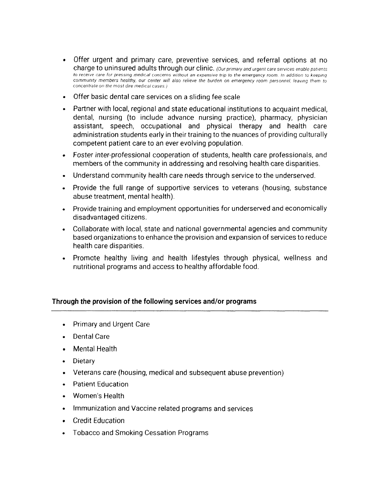- Offer urgent and primary care, preventive services, and referral options at no charge to uninsured adults through our clinic. *(Our primary and urgent care services enable patients* to receive care for pressing medical concerns without an expensive trip to the emergency room. In addition to keeping community members healthy, our center will also relieve the burden on emergency room personnel. leaving them to *concentrate on the most dire medical cases.)*
- Offer basic dental care services on a sliding fee scale
- Partner with local, regional and state educational institutions to acquaint medical, dental, nursing (to include advance nursing practice), pharmacy, physician assistant, speech, occupational and physical therapy and health care administration students early in their training to the nuances of providing culturally competent patient care to an ever evolving population.
- Foster inter-professional cooperation of students, health care professionals, and members of the community in addressing and resolving health care disparities.
- Understand community health care needs through service to the underserved.
- Provide the full range of supportive services to veterans (housing, substance abuse treatment, mental health).
- Provide training and employment opportunities for underserved and economically disadvantaged citizens.
- Collaborate with local, state and national governmental agencies and community based organizations to enhance the provision and expansion of services to reduce health care disparities.
- Promote healthy living and health lifestyles through physical, wellness and nutritional programs and access to healthy affordable food.

## **Through the provision of the following services and/or programs**

- Primary and Urgent Care
- Dental Care
- Mental Health
- Dietary
- Veterans care (housing, medical and subsequent abuse prevention)
- Patient Education
- Women's Health
- Immunization and Vaccine related programs and services
- Credit Education
- Tobacco and Smoking Cessation Programs